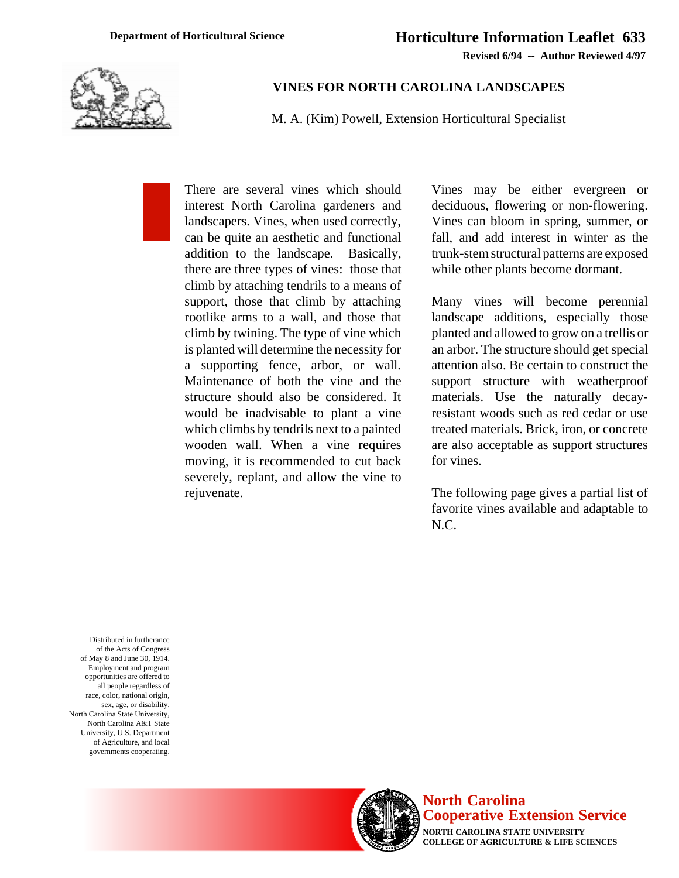

## **VINES FOR NORTH CAROLINA LANDSCAPES**

M. A. (Kim) Powell, Extension Horticultural Specialist

There are several vines which should interest North Carolina gardeners and landscapers. Vines, when used correctly, can be quite an aesthetic and functional addition to the landscape. Basically, there are three types of vines: those that climb by attaching tendrils to a means of support, those that climb by attaching rootlike arms to a wall, and those that climb by twining. The type of vine which is planted will determine the necessity for a supporting fence, arbor, or wall. Maintenance of both the vine and the structure should also be considered. It would be inadvisable to plant a vine which climbs by tendrils next to a painted wooden wall. When a vine requires moving, it is recommended to cut back severely, replant, and allow the vine to rejuvenate.

Vines may be either evergreen or deciduous, flowering or non-flowering. Vines can bloom in spring, summer, or fall, and add interest in winter as the trunk-stem structural patterns are exposed while other plants become dormant.

Many vines will become perennial landscape additions, especially those planted and allowed to grow on a trellis or an arbor. The structure should get special attention also. Be certain to construct the support structure with weatherproof materials. Use the naturally decayresistant woods such as red cedar or use treated materials. Brick, iron, or concrete are also acceptable as support structures for vines.

The following page gives a partial list of favorite vines available and adaptable to N.C.

Distributed in furtherance of the Acts of Congress of May 8 and June 30, 1914. Employment and program opportunities are offered to all people regardless of race, color, national origin, sex, age, or disability. North Carolina State University, North Carolina A&T State University, U.S. Department of Agriculture, and local governments cooperating.



**North Carolina Cooperative Extension Service NORTH CAROLINA STATE UNIVERSITY**

**COLLEGE OF AGRICULTURE & LIFE SCIENCES**